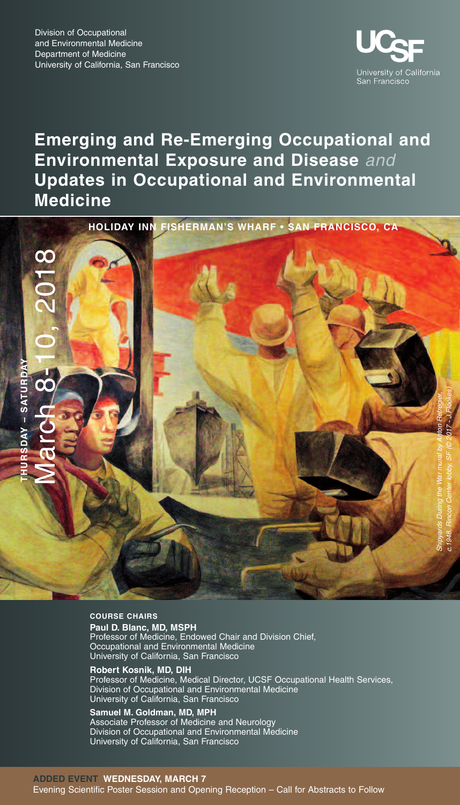

# **Emerging and Re-Emerging Occupational and Environmental Exposure and Disease** *and* **Updates in Occupational and Environmental Medicine**





# **COURSE CHAIRS**

**Paul D. Blanc, MD, MSPH** Professor of Medicine, Endowed Chair and Division Chief, Occupational and Environmental Medicine University of California, San Francisco

**Robert Kosnik, MD, DIH** Professor of Medicine, Medical Director, UCSF Occupational Health Services, Division of Occupational and Environmental Medicine University of California, San Francisco

#### **Samuel M. Goldman, MD, MPH** Associate Professor of Medicine and Neurology

Division of Occupational and Environmental Medicine University of California, San Francisco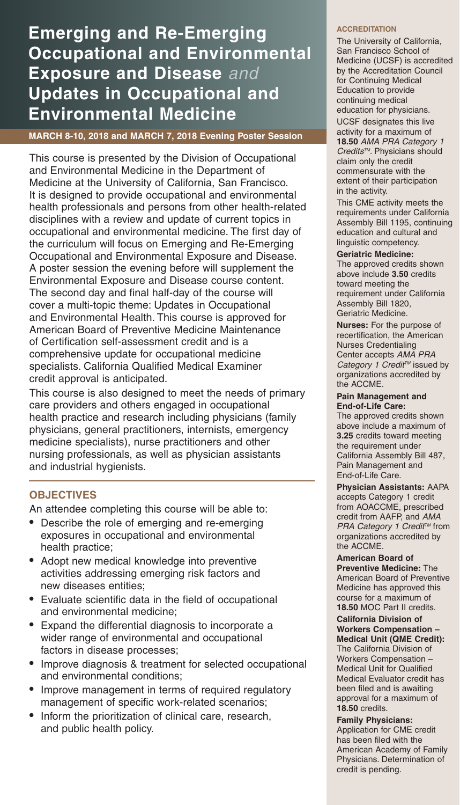# **Emerging and Re-Emerging Occupational and Environmental Exposure and Disease** *and* **Updates in Occupational and Environmental Medicine**

**MARCH 8-10, 2018 and MARCH 7, 2018 Evening Poster Session**

This course is presented by the Division of Occupational and Environmental Medicine in the Department of Medicine at the University of California, San Francisco. It is designed to provide occupational and environmental health professionals and persons from other health-related disciplines with a review and update of current topics in occupational and environmental medicine. The first day of the curriculum will focus on Emerging and Re-Emerging Occupational and Environmental Exposure and Disease. A poster session the evening before will supplement the Environmental Exposure and Disease course content. The second day and final half-day of the course will cover a multi-topic theme: Updates in Occupational and Environmental Health. This course is approved for American Board of Preventive Medicine Maintenance of Certification self-assessment credit and is a comprehensive update for occupational medicine specialists. California Qualified Medical Examiner credit approval is anticipated.

This course is also designed to meet the needs of primary care providers and others engaged in occupational health practice and research including physicians (family physicians, general practitioners, internists, emergency medicine specialists), nurse practitioners and other nursing professionals, as well as physician assistants and industrial hygienists.

## **OBJECTIVES**

An attendee completing this course will be able to:

- Describe the role of emerging and re-emerging exposures in occupational and environmental health practice;
- Adopt new medical knowledge into preventive activities addressing emerging risk factors and new diseases entities;
- Evaluate scientific data in the field of occupational and environmental medicine;
- Expand the differential diagnosis to incorporate a wider range of environmental and occupational factors in disease processes;
- Improve diagnosis & treatment for selected occupational and environmental conditions;
- Improve management in terms of required regulatory management of specific work-related scenarios;
- Inform the prioritization of clinical care, research, and public health policy.

## **ACCREDITATION**

The University of California, San Francisco School of Medicine (UCSF) is accredited by the Accreditation Council for Continuing Medical Education to provide continuing medical education for physicians. UCSF designates this live activity for a maximum of **18.50** *AMA PRA Category 1 CreditsTM.* Physicians should claim only the credit commensurate with the extent of their participation in the activity.

This CME activity meets the requirements under California Assembly Bill 1195, continuing education and cultural and linguistic competency.

## **Geriatric Medicine:**

The approved credits shown above include **3.50** credits toward meeting the requirement under California Assembly Bill 1820, Geriatric Medicine.

**Nurses:** For the purpose of recertification, the American Nurses Credentialing Center accepts *AMA PRA Category 1 Credit TM* issued by organizations accredited by the ACCME.

#### **Pain Management and End-of-Life Care:**

The approved credits shown above include a maximum of **3.25** credits toward meeting the requirement under California Assembly Bill 487, Pain Management and End-of-Life Care.

**Physician Assistants:** AAPA accepts Category 1 credit from AOACCME, prescribed credit from AAFP, and *AMA PRA Category* 1 *Credit<sup>™</sup>* from organizations accredited by the ACCME.

### **American Board of Preventive Medicine:** The American Board of Preventive Medicine has approved this course for a maximum of **18.50** MOC Part II credits.

### **California Division of Workers Compensation – Medical Unit (QME Credit):**

The California Division of Workers Compensation – Medical Unit for Qualified Medical Evaluator credit has been filed and is awaiting approval for a maximum of **18.50** credits.

**Family Physicians:** Application for CME credit has been filed with the American Academy of Family Physicians. Determination of credit is pending.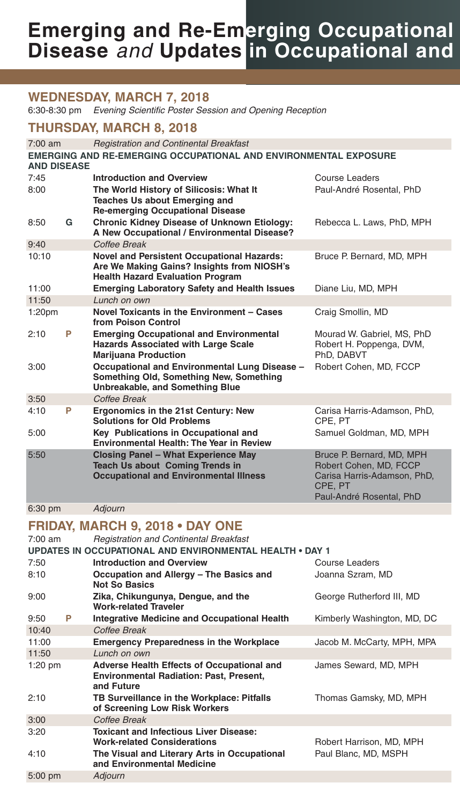# **Emerging and Re-Emerging Occupational Disease** *and* **Updates in Occupational and**

# **WEDNESDAY, MARCH 7, 2018**

6:30-8:30 pm *Evening Scientific Poster Session and Opening Reception*

# **THURSDAY, MARCH 8, 2018**

| $7:00$ am          |   | <b>Registration and Continental Breakfast</b>                                                                                              |                                                                                                                           |  |  |
|--------------------|---|--------------------------------------------------------------------------------------------------------------------------------------------|---------------------------------------------------------------------------------------------------------------------------|--|--|
| <b>AND DISEASE</b> |   | <b>EMERGING AND RE-EMERGING OCCUPATIONAL AND ENVIRONMENTAL EXPOSURE</b>                                                                    |                                                                                                                           |  |  |
| 7:45               |   | <b>Introduction and Overview</b>                                                                                                           | Course Leaders                                                                                                            |  |  |
| 8:00               |   | The World History of Silicosis: What It<br><b>Teaches Us about Emerging and</b><br><b>Re-emerging Occupational Disease</b>                 | Paul-André Rosental, PhD                                                                                                  |  |  |
| 8:50               | G | <b>Chronic Kidney Disease of Unknown Etiology:</b><br>A New Occupational / Environmental Disease?                                          | Rebecca L. Laws, PhD, MPH                                                                                                 |  |  |
| 9:40               |   | Coffee Break                                                                                                                               |                                                                                                                           |  |  |
| 10:10              |   | <b>Novel and Persistent Occupational Hazards:</b><br>Are We Making Gains? Insights from NIOSH's<br><b>Health Hazard Evaluation Program</b> | Bruce P. Bernard, MD, MPH                                                                                                 |  |  |
| 11:00              |   | <b>Emerging Laboratory Safety and Health Issues</b>                                                                                        | Diane Liu, MD, MPH                                                                                                        |  |  |
| 11:50              |   | Lunch on own                                                                                                                               |                                                                                                                           |  |  |
| 1:20 <sub>pm</sub> |   | Novel Toxicants in the Environment - Cases<br>from Poison Control                                                                          | Craig Smollin, MD                                                                                                         |  |  |
| 2:10               | P | <b>Emerging Occupational and Environmental</b><br><b>Hazards Associated with Large Scale</b><br><b>Marijuana Production</b>                | Mourad W. Gabriel, MS, PhD<br>Robert H. Poppenga, DVM,<br>PhD, DABVT                                                      |  |  |
| 3:00               |   | Occupational and Environmental Lung Disease -<br>Something Old, Something New, Something<br><b>Unbreakable, and Something Blue</b>         | Robert Cohen, MD, FCCP                                                                                                    |  |  |
| 3:50               |   | Coffee Break                                                                                                                               |                                                                                                                           |  |  |
| 4:10               | P | Ergonomics in the 21st Century: New<br><b>Solutions for Old Problems</b>                                                                   | Carisa Harris-Adamson, PhD,<br>CPE. PT                                                                                    |  |  |
| 5:00               |   | Key Publications in Occupational and<br><b>Environmental Health: The Year in Review</b>                                                    | Samuel Goldman, MD, MPH                                                                                                   |  |  |
| 5:50               |   | <b>Closing Panel - What Experience May</b><br><b>Teach Us about Coming Trends in</b><br><b>Occupational and Environmental Illness</b>      | Bruce P. Bernard, MD, MPH<br>Robert Cohen, MD, FCCP<br>Carisa Harris-Adamson, PhD,<br>CPE, PT<br>Paul-André Rosental, PhD |  |  |
| $6:30$ pm          |   | <b>Adiourn</b>                                                                                                                             |                                                                                                                           |  |  |

# **FRIDAY, MARCH 9, 2018 • DAY ONE**

7:00 am *Registration and Continental Breakfast*

| <b>UPDATES IN OCCUPATIONAL AND ENVIRONMENTAL HEALTH • DAY 1</b> |   |                                                                                                                   |                             |  |
|-----------------------------------------------------------------|---|-------------------------------------------------------------------------------------------------------------------|-----------------------------|--|
| 7:50                                                            |   | <b>Introduction and Overview</b>                                                                                  | Course Leaders              |  |
| 8:10                                                            |   | Occupation and Allergy - The Basics and<br><b>Not So Basics</b>                                                   | Joanna Szram, MD            |  |
| 9:00                                                            |   | Zika, Chikungunya, Dengue, and the<br><b>Work-related Traveler</b>                                                | George Rutherford III, MD   |  |
| 9:50                                                            | P | Integrative Medicine and Occupational Health                                                                      | Kimberly Washington, MD, DC |  |
| 10:40                                                           |   | Coffee Break                                                                                                      |                             |  |
| 11:00                                                           |   | <b>Emergency Preparedness in the Workplace</b>                                                                    | Jacob M. McCarty, MPH, MPA  |  |
| 11:50                                                           |   | Lunch on own                                                                                                      |                             |  |
| $1:20$ pm                                                       |   | <b>Adverse Health Effects of Occupational and</b><br><b>Environmental Radiation: Past, Present,</b><br>and Future | James Seward, MD, MPH       |  |
| 2:10                                                            |   | TB Surveillance in the Workplace: Pitfalls<br>of Screening Low Risk Workers                                       | Thomas Gamsky, MD, MPH      |  |
| 3:00                                                            |   | Coffee Break                                                                                                      |                             |  |
| 3:20                                                            |   | <b>Toxicant and Infectious Liver Disease:</b><br><b>Work-related Considerations</b>                               | Robert Harrison, MD, MPH    |  |
| 4:10                                                            |   | The Visual and Literary Arts in Occupational<br>and Environmental Medicine                                        | Paul Blanc, MD, MSPH        |  |
| $5:00$ pm                                                       |   | Adjourn                                                                                                           |                             |  |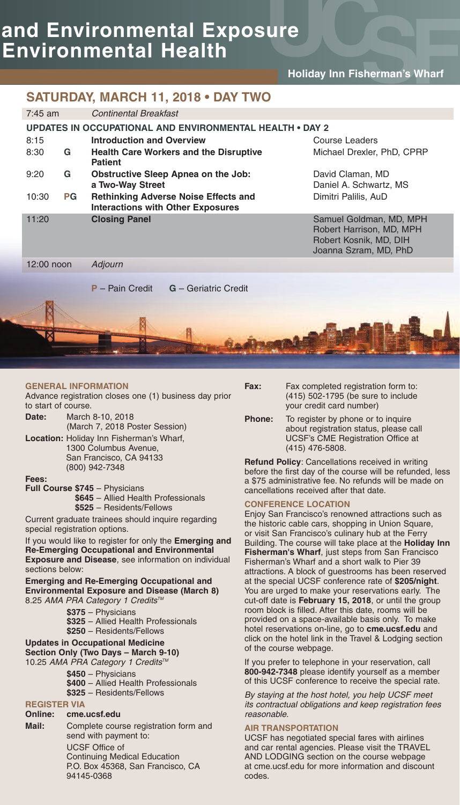# **and Environmental Exposure Environmental Health**

# **Holiday Inn Fisherman's Wharf**

# **SATURDAY, MARCH 11, 2018 • DAY TWO**

| $7:45$ am    |    | <b>Continental Breakfast</b>                             |                                                                                         |                                                                                                        |
|--------------|----|----------------------------------------------------------|-----------------------------------------------------------------------------------------|--------------------------------------------------------------------------------------------------------|
|              |    | UPDATES IN OCCUPATIONAL AND ENVIRONMENTAL HEALTH . DAY 2 |                                                                                         |                                                                                                        |
| 8:15         |    | <b>Introduction and Overview</b>                         |                                                                                         | Course Leaders                                                                                         |
| 8:30         | G  | <b>Patient</b>                                           | <b>Health Care Workers and the Disruptive</b>                                           | Michael Drexler, PhD, CPRP                                                                             |
| 9:20         | G  | Obstructive Sleep Apnea on the Job:<br>a Two-Way Street  |                                                                                         | David Claman, MD<br>Daniel A. Schwartz, MS                                                             |
| 10:30        | PG |                                                          | <b>Rethinking Adverse Noise Effects and</b><br><b>Interactions with Other Exposures</b> | Dimitri Palilis, AuD                                                                                   |
| 11:20        |    | <b>Closing Panel</b>                                     |                                                                                         | Samuel Goldman, MD, MPH<br>Robert Harrison, MD, MPH<br>Robert Kosnik, MD, DIH<br>Joanna Szram, MD, PhD |
| $12:00$ noon |    | Adjourn                                                  |                                                                                         |                                                                                                        |
|              |    | <b>P</b> – Pain Credit                                   | <b>G</b> - Geriatric Credit                                                             |                                                                                                        |
| Iм           |    |                                                          |                                                                                         |                                                                                                        |

### **GENERAL INFORMATION**

Advance registration closes one (1) business day prior to start of course.

- **Date:** March 8-10, 2018 (March 7, 2018 Poster Session)
- **Location:** Holiday Inn Fisherman's Wharf, 1300 Columbus Avenue, San Francisco, CA 94133 (800) 942-7348

#### **Fees:**

**Full Course \$745** – Physicians **\$645** – Allied Health Professionals **\$525** – Residents/Fellows

Current graduate trainees should inquire regarding special registration options.

If you would like to register for only the **Emerging and Re-Emerging Occupational and Environmental Exposure and Disease**, see information on individual sections below:

**Emerging and Re-Emerging Occupational and Environmental Exposure and Disease (March 8)** 8.25 *AMA PRA Category 1 CreditsTM*

- **\$375** Physicians **\$325** – Allied Health Professionals
- **\$250** Residents/Fellows

## **Updates in Occupational Medicine**

- **Section Only (Two Days – March 9-10)** 10.25 *AMA PRA Category 1 CreditsTM*
	- **\$450** Physicians
	- **\$400** Allied Health Professionals
	- **\$325** Residents/Fellows
	-

#### **REGISTER VIA Online: cme.ucsf.edu**

**Mail:** Complete course registration form and send with payment to: UCSF Office of Continuing Medical Education P.O. Box 45368, San Francisco, CA 94145-0368

**Fax:** Fax completed registration form to: (415) 502-1795 (be sure to include your credit card number)

**Phone:** To register by phone or to inquire about registration status, please call UCSF's CME Registration Office at (415) 476-5808.

**Refund Policy**: Cancellations received in writing before the first day of the course will be refunded, less a \$75 administrative fee. No refunds will be made on cancellations received after that date.

## **CONFERENCE LOCATION**

Enjoy San Francisco's renowned attractions such as the historic cable cars, shopping in Union Square, or visit San Francisco's culinary hub at the Ferry Building. The course will take place at the **Holiday Inn Fisherman's Wharf**, just steps from San Francisco Fisherman's Wharf and a short walk to Pier 39 attractions. A block of guestrooms has been reserved at the special UCSF conference rate of **\$205/night**. You are urged to make your reservations early. The cut-off date is **February 15, 2018**, or until the group room block is filled. After this date, rooms will be provided on a space-available basis only. To make hotel reservations on-line, go to **cme.ucsf.edu** and click on the hotel link in the Travel & Lodging section of the course webpage.

If you prefer to telephone in your reservation, call **800-942-7348** please identify yourself as a member of this UCSF conference to receive the special rate.

*By staying at the host hotel, you help UCSF meet its contractual obligations and keep registration fees reasonable.*

## **AIR TRANSPORTATION**

UCSF has negotiated special fares with airlines and car rental agencies. Please visit the TRAVEL AND LODGING section on the course webpage at cme.ucsf.edu for more information and discount codes.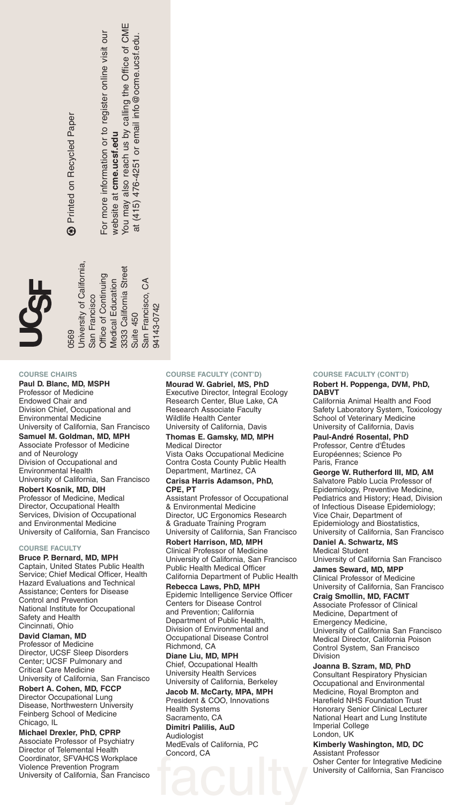Printed on Recycled Paper Printed on Recycled Paper  $\circledast$  For more information or to register online visit our For more information or to register online visit our vebsite at cme.ucsf.edu website at **cme.ucsf.edu**

ш, ≊ at (415) 476-4251 or email info@ocme.ucsf.edu. at  $(415)$  476-4251 or email into @ ocme.ucsf.edu You may also reach us by calling the Office of C

> Suite 450 San Francisco, C

**Suite 450** 

3333 California Street

A

San Francisco,

94143-0742

4143-0742

## **COURSE CHAIRS**

0569

University of California, San Francisco Office of Continuing Medical Education 3333 California Street

San Francisco

Office of Continuing Medical Education

**Jniversity of California,** 

**Paul D. Blanc, MD, MSPH** Professor of Medicine Endowed Chair and Division Chief, Occupational and Environmental Medicine University of California, San Francisco **Samuel M. Goldman, MD, MPH** Associate Professor of Medicine and of Neurology Division of Occupational and Environmental Health University of California, San Francisco **Robert Kosnik, MD, DIH** Professor of Medicine, Medical Director, Occupational Health Services, Division of Occupational and Environmental Medicine University of California, San Francisco

#### **COURSE FACULTY**

**Bruce P. Bernard, MD, MPH** Captain, United States Public Health Service; Chief Medical Officer, Health Hazard Evaluations and Technical Assistance; Centers for Disease Control and Prevention National Institute for Occupational Safety and Health Cincinnati, Ohio

#### **David Claman, MD** Professor of Medicine Director, UCSF Sleep Disorders Center; UCSF Pulmonary and Critical Care Medicine

University of California, San Francisco **Robert A. Cohen, MD, FCCP** Director Occupational Lung Disease, Northwestern University Feinberg School of Medicine

Chicago, IL **Michael Drexler, PhD, CPRP** Associate Professor of Psychiatry Director of Telemental Health Coordinator, SFVAHCS Workplace Violence Prevention Program University of California, San Francisco

## **COURSE FACULTY (CONT'D)**

**Mourad W. Gabriel, MS, PhD** Executive Director, Integral Ecology Research Center, Blue Lake, CA Research Associate Faculty Wildlife Health Center University of California, Davis

#### **Thomas E. Gamsky, MD, MPH** Medical Director

Vista Oaks Occupational Medicine Contra Costa County Public Health Department, Martinez, CA

#### **Carisa Harris Adamson, PhD, CPE, PT**

Assistant Professor of Occupational & Environmental Medicine Director, UC Ergonomics Research & Graduate Training Program University of California, San Francisco

**Robert Harrison, MD, MPH** Clinical Professor of Medicine University of California, San Francisco Public Health Medical Officer California Department of Public Health

**Rebecca Laws, PhD, MPH** Epidemic Intelligence Service Officer Centers for Disease Control and Prevention; California Department of Public Health, Division of Environmental and Occupational Disease Control Richmond, CA **Diane Liu, MD, MPH**

Chief, Occupational Health University Health Services University of California, Berkeley

**Jacob M. McCarty, MPA, MPH** President & COO, Innovations Health Systems

faculty Sacramento, CA **Dimitri Palilis, AuD Audiologist** MedEvals of California, PC Concord, CA

#### **COURSE FACULTY (CONT'D)**

#### **Robert H. Poppenga, DVM, PhD, DABVT**

California Animal Health and Food Safety Laboratory System, Toxicology School of Veterinary Medicine University of California, Davis

**Paul-André Rosental, PhD** Professor, Centre d'Études Européennes; Science Po

Paris, France **George W. Rutherford III, MD, AM**

Salvatore Pablo Lucia Professor of Epidemiology, Preventive Medicine, Pediatrics and History; Head, Division of Infectious Disease Epidemiology; Vice Chair, Department of Epidemiology and Biostatistics, University of California, San Francisco

**Daniel A. Schwartz, MS** Medical Student

University of California San Francisco **James Seward, MD, MPP**

Clinical Professor of Medicine University of California, San Francisco

**Craig Smollin, MD, FACMT**

Associate Professor of Clinical Medicine, Department of Emergency Medicine, University of California San Francisco Medical Director, California Poison Control System, San Francisco Division

#### **Joanna B. Szram, MD, PhD**

Consultant Respiratory Physician Occupational and Environmental Medicine, Royal Brompton and Harefield NHS Foundation Trust Honorary Senior Clinical Lecturer National Heart and Lung Institute Imperial College London, UK

#### **Kimberly Washington, MD, DC** Assistant Professor

Osher Center for Integrative Medicine University of California, San Francisco